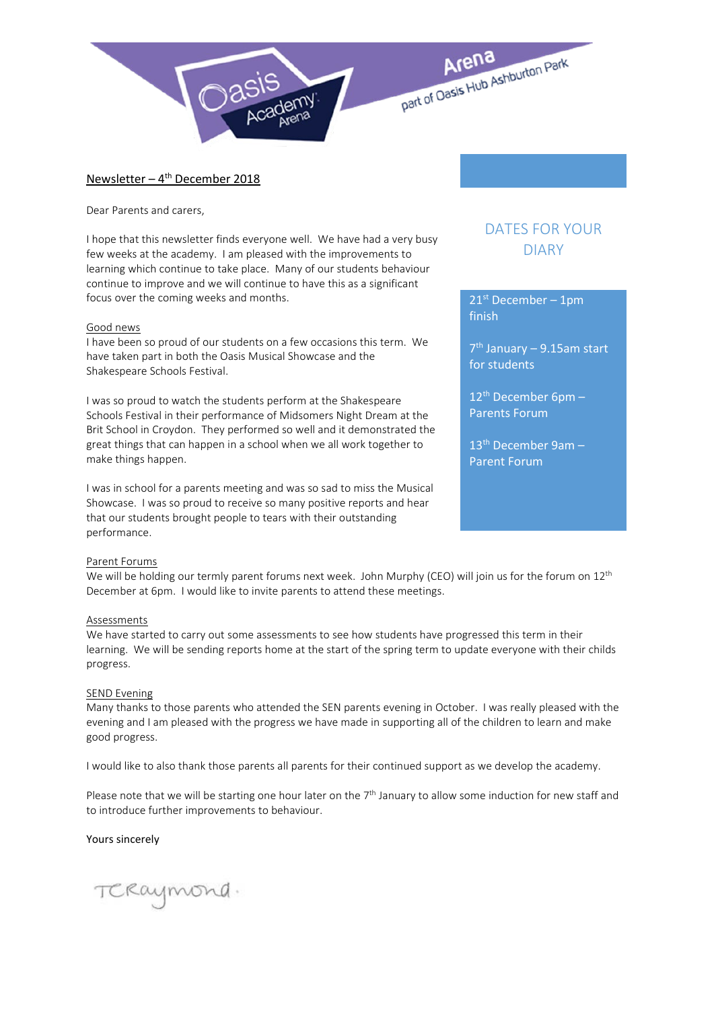

## Newsletter –  $4<sup>th</sup>$  December 2018

Dear Parents and carers,

I hope that this newsletter finds everyone well. We have had a very busy few weeks at the academy. I am pleased with the improvements to learning which continue to take place. Many of our students behaviour continue to improve and we will continue to have this as a significant focus over the coming weeks and months.

#### Good news

I have been so proud of our students on a few occasions this term. We have taken part in both the Oasis Musical Showcase and the Shakespeare Schools Festival.

I was so proud to watch the students perform at the Shakespeare Schools Festival in their performance of Midsomers Night Dream at the Brit School in Croydon. They performed so well and it demonstrated the great things that can happen in a school when we all work together to make things happen.

I was in school for a parents meeting and was so sad to miss the Musical Showcase. I was so proud to receive so many positive reports and hear that our students brought people to tears with their outstanding performance.

### Parent Forums

We will be holding our termly parent forums next week. John Murphy (CEO) will join us for the forum on  $12^{th}$ December at 6pm. I would like to invite parents to attend these meetings.

#### Assessments

We have started to carry out some assessments to see how students have progressed this term in their learning. We will be sending reports home at the start of the spring term to update everyone with their childs progress.

#### SEND Evening

Many thanks to those parents who attended the SEN parents evening in October. I was really pleased with the evening and I am pleased with the progress we have made in supporting all of the children to learn and make good progress.

I would like to also thank those parents all parents for their continued support as we develop the academy.

Please note that we will be starting one hour later on the  $7<sup>th</sup>$  January to allow some induction for new staff and to introduce further improvements to behaviour.

#### Yours sincerely

TCRaymond.

# DATES FOR YOUR DIARY

 $21<sup>st</sup>$  December – 1pm finish

 $7<sup>th</sup>$  January – 9.15am start for students

 $12^{th}$  December 6pm – Parents Forum

 $13<sup>th</sup>$  December 9am – Parent Forum